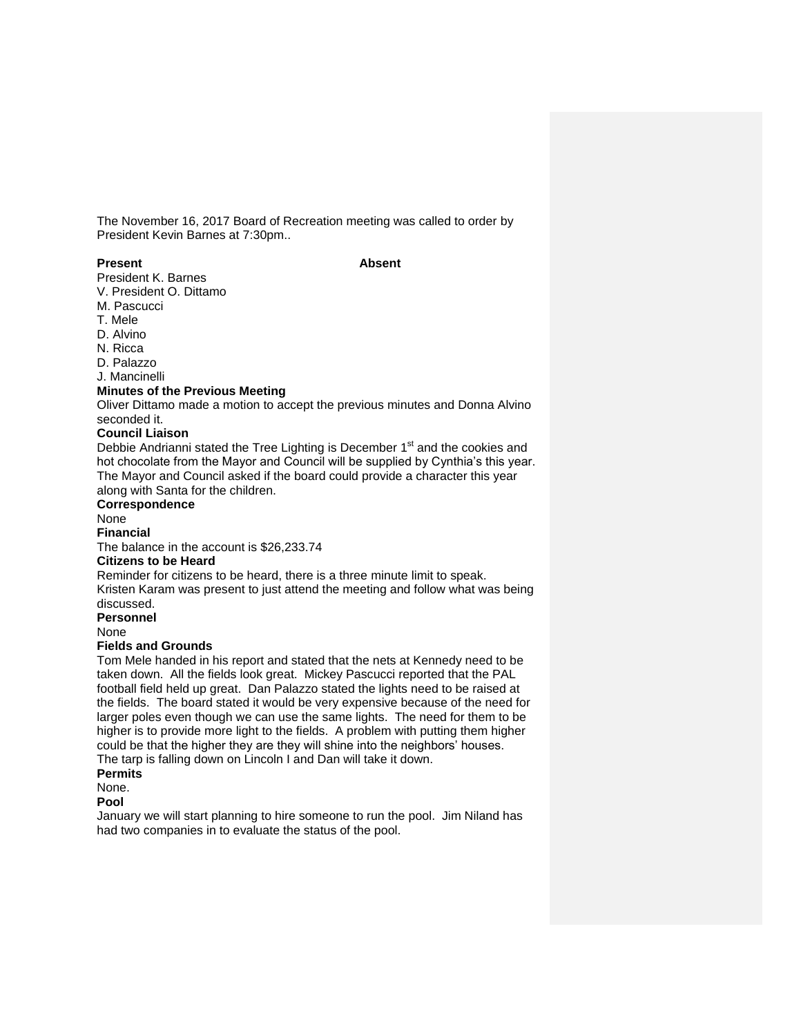The November 16, 2017 Board of Recreation meeting was called to order by President Kevin Barnes at 7:30pm..

#### **Present Absent**

President K. Barnes

V. President O. Dittamo M. Pascucci

T. Mele

D. Alvino

N. Ricca

D. Palazzo

J. Mancinelli

#### **Minutes of the Previous Meeting**

Oliver Dittamo made a motion to accept the previous minutes and Donna Alvino seconded it.

# **Council Liaison**

Debbie Andrianni stated the Tree Lighting is December 1<sup>st</sup> and the cookies and hot chocolate from the Mayor and Council will be supplied by Cynthia's this year. The Mayor and Council asked if the board could provide a character this year along with Santa for the children.

# **Correspondence**

None

# **Financial**

The balance in the account is \$26,233.74

# **Citizens to be Heard**

Reminder for citizens to be heard, there is a three minute limit to speak. Kristen Karam was present to just attend the meeting and follow what was being discussed.

**Personnel**

None

#### **Fields and Grounds**

Tom Mele handed in his report and stated that the nets at Kennedy need to be taken down. All the fields look great. Mickey Pascucci reported that the PAL football field held up great. Dan Palazzo stated the lights need to be raised at the fields. The board stated it would be very expensive because of the need for larger poles even though we can use the same lights. The need for them to be higher is to provide more light to the fields. A problem with putting them higher could be that the higher they are they will shine into the neighbors' houses.

The tarp is falling down on Lincoln I and Dan will take it down.

**Permits**

None.

#### **Pool**

January we will start planning to hire someone to run the pool. Jim Niland has had two companies in to evaluate the status of the pool.